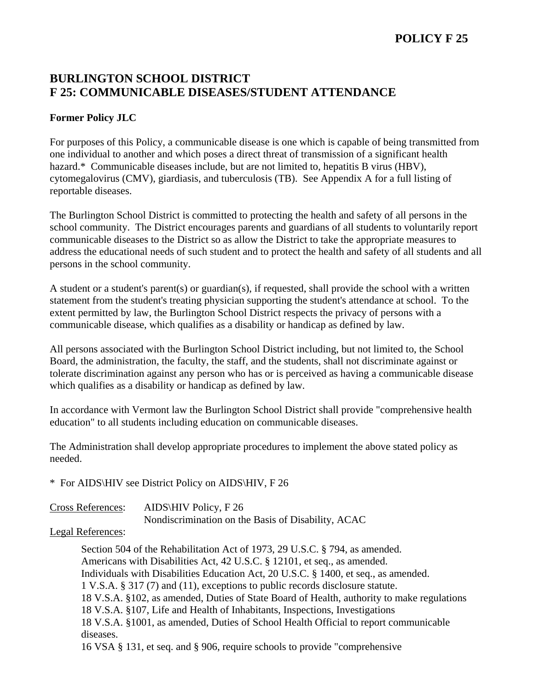## **POLICY F 25**

## **BURLINGTON SCHOOL DISTRICT F 25: COMMUNICABLE DISEASES/STUDENT ATTENDANCE**

## **Former Policy JLC**

For purposes of this Policy, a communicable disease is one which is capable of being transmitted from one individual to another and which poses a direct threat of transmission of a significant health hazard.\* Communicable diseases include, but are not limited to, hepatitis B virus (HBV), cytomegalovirus (CMV), giardiasis, and tuberculosis (TB). See Appendix A for a full listing of reportable diseases.

The Burlington School District is committed to protecting the health and safety of all persons in the school community. The District encourages parents and guardians of all students to voluntarily report communicable diseases to the District so as allow the District to take the appropriate measures to address the educational needs of such student and to protect the health and safety of all students and all persons in the school community.

A student or a student's parent(s) or guardian(s), if requested, shall provide the school with a written statement from the student's treating physician supporting the student's attendance at school. To the extent permitted by law, the Burlington School District respects the privacy of persons with a communicable disease, which qualifies as a disability or handicap as defined by law.

All persons associated with the Burlington School District including, but not limited to, the School Board, the administration, the faculty, the staff, and the students, shall not discriminate against or tolerate discrimination against any person who has or is perceived as having a communicable disease which qualifies as a disability or handicap as defined by law.

In accordance with Vermont law the Burlington School District shall provide "comprehensive health education" to all students including education on communicable diseases.

The Administration shall develop appropriate procedures to implement the above stated policy as needed.

\* For AIDS\HIV see District Policy on AIDS\HIV, F 26

| <b>Cross References:</b> | AIDS HIV Policy, $F\,26$                           |
|--------------------------|----------------------------------------------------|
|                          | Nondiscrimination on the Basis of Disability, ACAC |

Legal References:

 Section 504 of the Rehabilitation Act of 1973, 29 U.S.C. § 794, as amended. Americans with Disabilities Act, 42 U.S.C. § 12101, et seq., as amended. Individuals with Disabilities Education Act, 20 U.S.C. § 1400, et seq., as amended. 1 V.S.A. § 317 (7) and (11), exceptions to public records disclosure statute. 18 V.S.A. §102, as amended, Duties of State Board of Health, authority to make regulations 18 V.S.A. §107, Life and Health of Inhabitants, Inspections, Investigations 18 V.S.A. §1001, as amended, Duties of School Health Official to report communicable diseases. 16 VSA § 131, et seq. and § 906, require schools to provide "comprehensive